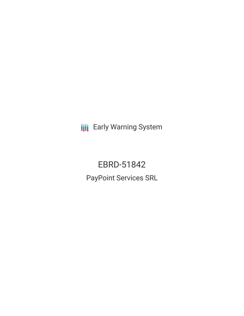**III** Early Warning System

EBRD-51842 PayPoint Services SRL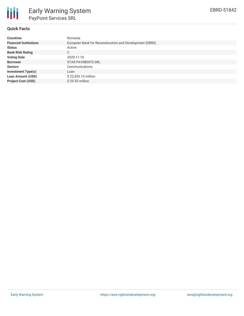

## **Quick Facts**

| <b>Countries</b>              | Romania                                                 |
|-------------------------------|---------------------------------------------------------|
| <b>Financial Institutions</b> | European Bank for Reconstruction and Development (EBRD) |
| <b>Status</b>                 | Active                                                  |
| <b>Bank Risk Rating</b>       | C                                                       |
| <b>Voting Date</b>            | 2020-11-10                                              |
| <b>Borrower</b>               | <b>STAR PAYMENTS SRL</b>                                |
| <b>Sectors</b>                | Communications                                          |
| <b>Investment Type(s)</b>     | Loan                                                    |
| <b>Loan Amount (USD)</b>      | \$22,455.10 million                                     |
| <b>Project Cost (USD)</b>     | $$29.55$ million                                        |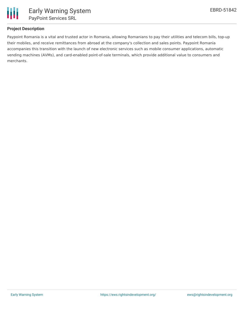

# **Project Description**

Paypoint Romania is a vital and trusted actor in Romania, allowing Romanians to pay their utilities and telecom bills, top-up their mobiles, and receive remittances from abroad at the company's collection and sales points. Paypoint Romania accompanies this transition with the launch of new electronic services such as mobile consumer applications, automatic vending machines (AVMs), and card-enabled point-of-sale terminals, which provide additional value to consumers and merchants.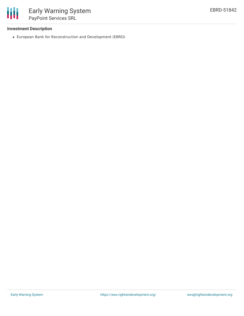

# **Investment Description**

European Bank for Reconstruction and Development (EBRD)